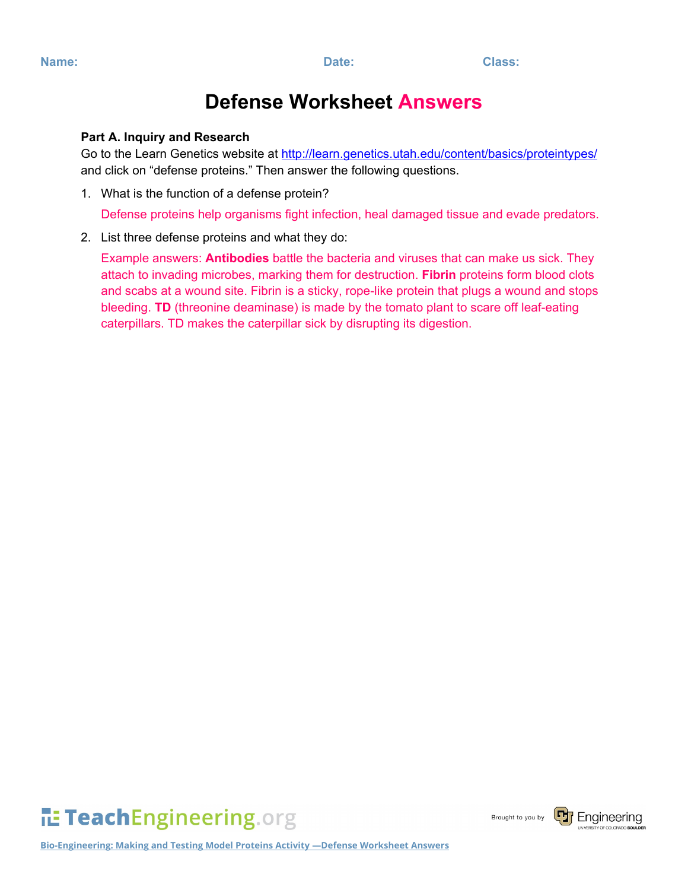## **Defense Worksheet Answers**

## **Part A. Inquiry and Research**

Go to the Learn Genetics website at<http://learn.genetics.utah.edu/content/basics/proteintypes/> and click on "defense proteins." Then answer the following questions.

1. What is the function of a defense protein?

Defense proteins help organisms fight infection, heal damaged tissue and evade predators.

2. List three defense proteins and what they do:

Example answers: **Antibodies** battle the bacteria and viruses that can make us sick. They attach to invading microbes, marking them for destruction. **Fibrin** proteins form blood clots and scabs at a wound site. Fibrin is a sticky, rope-like protein that plugs a wound and stops bleeding. **TD** (threonine deaminase) is made by the tomato plant to scare off leaf-eating caterpillars. TD makes the caterpillar sick by disrupting its digestion.

TeachEngineering.org

Brought to you by



**Bio-Engineering: Making and Testing Model Proteins Activity —Defense Worksheet Answers**

**Name: Date: Class:**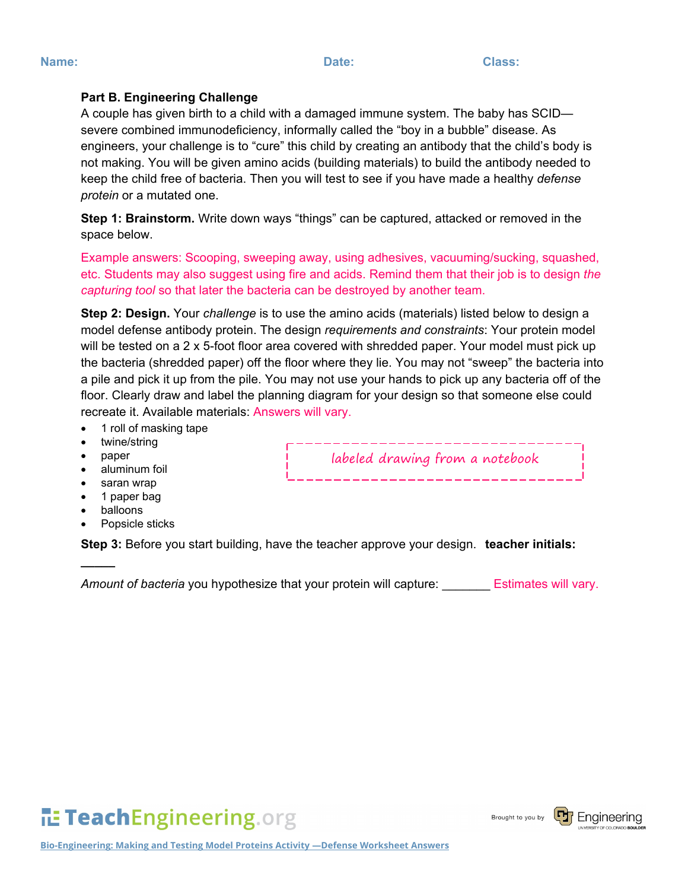• balloons

**\_\_\_\_\_**

Popsicle sticks

twine/string • paper

• aluminum foil saran wrap

• 1 roll of masking tape

**Part B. Engineering Challenge**

*protein* or a mutated one.

space below.

**Step 3:** Before you start building, have the teacher approve your design. **teacher initials:** 

*Amount of bacteria* you hypothesize that your protein will capture: \_\_\_\_\_\_\_ Estimates will vary.

labeled drawing from a notebook

**ILE TeachEngineering.org** 

A couple has given birth to a child with a damaged immune system. The baby has SCID severe combined immunodeficiency, informally called the "boy in a bubble" disease. As

engineers, your challenge is to "cure" this child by creating an antibody that the child's body is not making. You will be given amino acids (building materials) to build the antibody needed to keep the child free of bacteria. Then you will test to see if you have made a healthy *defense* 

**Step 1: Brainstorm.** Write down ways "things" can be captured, attacked or removed in the

*capturing tool* so that later the bacteria can be destroyed by another team.

recreate it. Available materials: Answers will vary.

Example answers: Scooping, sweeping away, using adhesives, vacuuming/sucking, squashed, etc. Students may also suggest using fire and acids. Remind them that their job is to design *the* 

**Step 2: Design.** Your *challenge* is to use the amino acids (materials) listed below to design a model defense antibody protein. The design *requirements and constraints*: Your protein model will be tested on a 2 x 5-foot floor area covered with shredded paper. Your model must pick up the bacteria (shredded paper) off the floor where they lie. You may not "sweep" the bacteria into a pile and pick it up from the pile. You may not use your hands to pick up any bacteria off of the floor. Clearly draw and label the planning diagram for your design so that someone else could

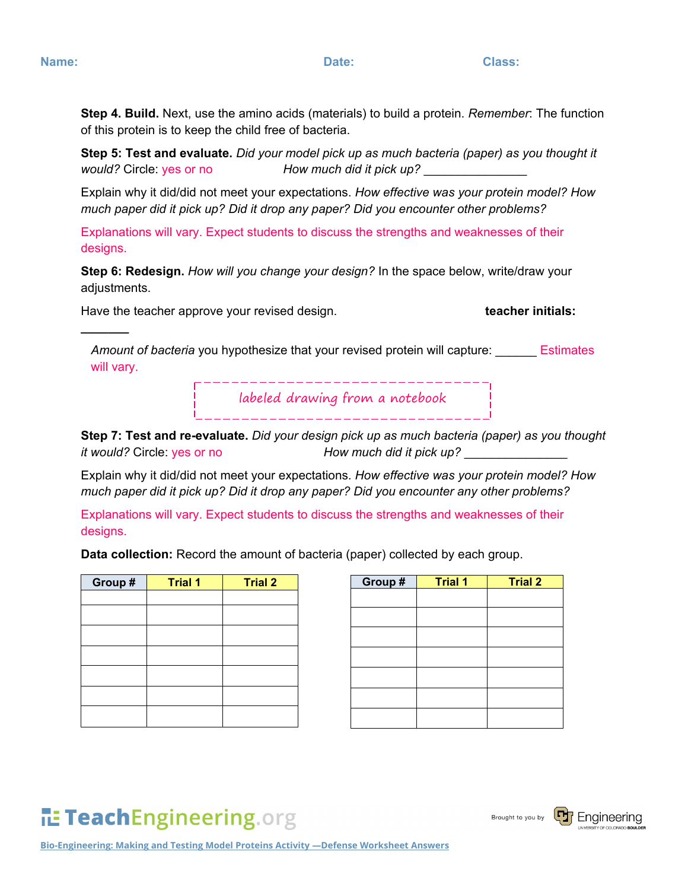**\_\_\_\_\_\_\_**

**Step 4. Build.** Next, use the amino acids (materials) to build a protein. *Remember*: The function of this protein is to keep the child free of bacteria.

**Step 5: Test and evaluate.** *Did your model pick up as much bacteria (paper) as you thought it would?* Circle: yes or no *How much did it pick up?* \_\_\_\_\_\_\_\_\_\_\_\_\_\_\_

Explain why it did/did not meet your expectations. *How effective was your protein model? How much paper did it pick up? Did it drop any paper? Did you encounter other problems?*

Explanations will vary. Expect students to discuss the strengths and weaknesses of their designs.

**Step 6: Redesign.** *How will you change your design?* In the space below, write/draw your adjustments.

Have the teacher approve your revised design. **teacher initials:** 

*Amount of bacteria* you hypothesize that your revised protein will capture: \_\_\_\_\_\_ Estimates will vary.

labeled drawing from a notebook

**Step 7: Test and re-evaluate.** *Did your design pick up as much bacteria (paper) as you thought it would?* Circle: yes or no *How much did it pick up?* 

Explain why it did/did not meet your expectations. *How effective was your protein model? How much paper did it pick up? Did it drop any paper? Did you encounter any other problems?*

Explanations will vary. Expect students to discuss the strengths and weaknesses of their designs.

**Data collection:** Record the amount of bacteria (paper) collected by each group.

| Group # | <b>Trial 1</b> | <b>Trial 2</b> | Group# | <b>Trial 1</b> | <b>Trial 2</b> |
|---------|----------------|----------------|--------|----------------|----------------|
|         |                |                |        |                |                |
|         |                |                |        |                |                |
|         |                |                |        |                |                |
|         |                |                |        |                |                |
|         |                |                |        |                |                |
|         |                |                |        |                |                |
|         |                |                |        |                |                |
|         |                |                |        |                |                |
|         |                |                |        |                |                |

| Group # | <b>Trial 1</b> | <b>Trial 2</b> |
|---------|----------------|----------------|
|         |                |                |
|         |                |                |
|         |                |                |
|         |                |                |
|         |                |                |
|         |                |                |
|         |                |                |

## **ILE TeachEngineering.org**

Brought to you by

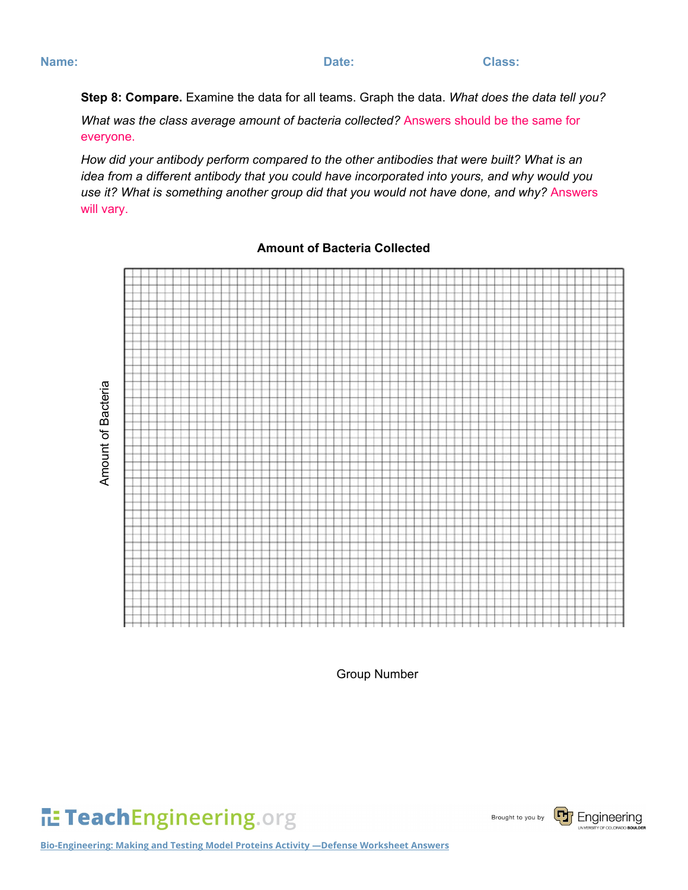**Step 8: Compare.** Examine the data for all teams. Graph the data. *What does the data tell you?*

*What was the class average amount of bacteria collected?* Answers should be the same for everyone.

*How did your antibody perform compared to the other antibodies that were built? What is an idea from a different antibody that you could have incorporated into yours, and why would you*  use it? What is something another group did that you would not have done, and why? Answers will vary.

**Amount of Bacteria** Amount of Bacteria

**Amount of Bacteria Collected**

Group Number

TeachEngineering.org

Brought to you by